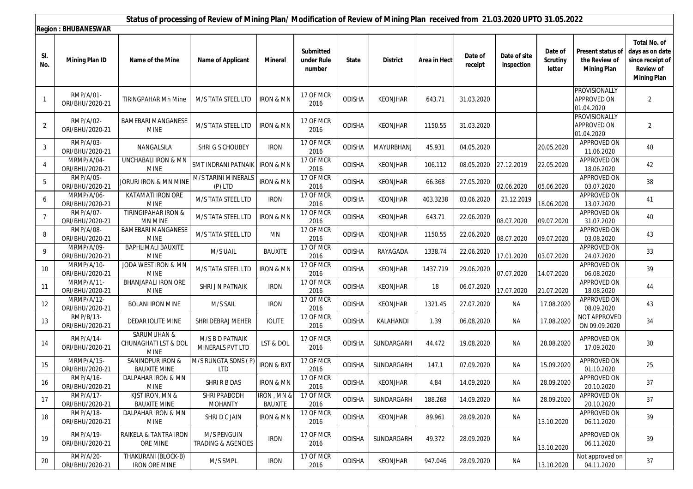|                | Status of processing of Review of Mining Plan/ Modification of Review of Mining Plan received from 21.03.2020 UPTO 31.05.2022 |                                                    |                                     |                        |                                   |               |                 |              |                    |                            |                                      |                                                                 |                                                                                                      |
|----------------|-------------------------------------------------------------------------------------------------------------------------------|----------------------------------------------------|-------------------------------------|------------------------|-----------------------------------|---------------|-----------------|--------------|--------------------|----------------------------|--------------------------------------|-----------------------------------------------------------------|------------------------------------------------------------------------------------------------------|
|                | <b>Region: BHUBANESWAR</b>                                                                                                    |                                                    |                                     |                        |                                   |               |                 |              |                    |                            |                                      |                                                                 |                                                                                                      |
| SI.<br>No.     | <b>Mining Plan ID</b>                                                                                                         | Name of the Mine                                   | <b>Name of Applicant</b>            | <b>Mineral</b>         | Submitted<br>under Rule<br>number | <b>State</b>  | <b>District</b> | Area in Hect | Date of<br>receipt | Date of site<br>inspection | Date of<br><b>Scrutiny</b><br>letter | <b>Present status of</b><br>the Review of<br><b>Mining Plan</b> | <b>Total No. of</b><br>days as on date<br>since receipt of<br><b>Review of</b><br><b>Mining Plan</b> |
| $\mathbf{1}$   | RMP/A/01-<br>ORI/BHU/2020-21                                                                                                  | <b>TIRINGPAHAR Mn Mine</b>                         | M/S TATA STEEL LTD                  | IRON & MN              | 17 OF MCR<br>2016                 | ODISHA        | <b>KEONJHAR</b> | 643.71       | 31.03.2020         |                            |                                      | PROVISIONALLY<br>APPROVED ON<br>01.04.2020                      | $\overline{2}$                                                                                       |
| 2              | RMP/A/02-<br>ORI/BHU/2020-21                                                                                                  | <b>BAMEBARI MANGANESE</b><br><b>MINE</b>           | M/S TATA STEEL LTD                  | IRON & MN              | 17 OF MCR<br>2016                 | <b>ODISHA</b> | <b>KEONJHAR</b> | 1150.55      | 31.03.2020         |                            |                                      | PROVISIONALLY<br>APPROVED ON<br>01.04.2020                      | $\overline{2}$                                                                                       |
| 3              | RMP/A/03-<br>ORI/BHU/2020-21                                                                                                  | NANGALSILA                                         | SHRIGS CHOUBEY                      | <b>IRON</b>            | 17 OF MCR<br>2016                 | <b>ODISHA</b> | MAYURBHANJ      | 45.931       | 04.05.2020         |                            | 20.05.2020                           | APPROVED ON<br>11.06.2020                                       | 40                                                                                                   |
| 4              | MRMP/A/04-<br>ORI/BHU/2020-21                                                                                                 | UNCHABALI IRON & MN<br><b>MINE</b>                 | SMT INDRANI PATNAII                 | <b>IRON &amp; MN</b>   | 17 OF MCR<br>2016                 | ODISHA        | <b>KEONJHAR</b> | 106.112      | 08.05.2020         | 27.12.2019                 | 22.05.2020                           | <b>APPROVED ON</b><br>18.06.2020                                | 42                                                                                                   |
| 5              | RMP/A/05-<br>ORI/BHU/2020-21                                                                                                  | Joruri Iron & MN MINE                              | M/S TARINI MINERALS<br>(P) LTD      | <b>IRON &amp; MN</b>   | 17 OF MCR<br>2016                 | ODISHA        | <b>KEONJHAR</b> | 66.368       | 27.05.2020         | 02.06.2020                 | 05.06.2020                           | APPROVED ON<br>03.07.2020                                       | 38                                                                                                   |
| 6              | MRMP/A/06-<br>ORI/BHU/2020-21                                                                                                 | <b>KATAMATI IRON ORE</b><br><b>MINE</b>            | M/S TATA STEEL LTD                  | <b>IRON</b>            | 17 OF MCR<br>2016                 | ODISHA        | <b>KEONJHAR</b> | 403.3238     | 03.06.2020         | 23.12.2019                 | 18.06.2020                           | <b>APPROVED ON</b><br>13.07.2020                                | 41                                                                                                   |
| $\overline{7}$ | RMP/A/07-<br>ORI/BHU/2020-21                                                                                                  | TIRINGIPAHAR IRON &<br>MN MINE                     | M/S TATA STEEL LTD                  | <b>IRON &amp; MN</b>   | 17 OF MCR<br>2016                 | ODISHA        | KEONJHAR        | 643.71       | 22.06.2020         | 08.07.2020                 | 09.07.2020                           | APPROVED ON<br>31.07.2020                                       | 40                                                                                                   |
| 8              | RMP/A/08-<br>ORI/BHU/2020-21                                                                                                  | <b>BAMEBARI MANGANESE</b><br><b>MINE</b>           | M/S TATA STEEL LTD                  | MN                     | 17 OF MCR<br>2016                 | ODISHA        | <b>KEONJHAR</b> | 1150.55      | 22.06.2020         | 08.07.2020                 | 09.07.2020                           | <b>APPROVED ON</b><br>03.08.2020                                | 43                                                                                                   |
| 9              | MRMP/A/09-<br>ORI/BHU/2020-21                                                                                                 | BAPHLIMALI BAUXITE<br><b>MINE</b>                  | M/S UAIL                            | BAUXITE                | 17 OF MCR<br>2016                 | ODISHA        | RAYAGADA        | 1338.74      | 22.06.2020         | 17.01.2020                 | 03.07.2020                           | APPROVED ON<br>24.07.2020                                       | 33                                                                                                   |
| 10             | MRMP/A/10-<br>ORI/BHU/2020-21                                                                                                 | JODA WEST IRON & MN<br><b>MINE</b>                 | M/S TATA STEEL LTD                  | <b>IRON &amp; MN</b>   | 17 OF MCR<br>2016                 | ODISHA        | KEONJHAR        | 1437.719     | 29.06.2020         | 07.07.2020                 | 14.07.2020                           | <b>APPROVED ON</b><br>06.08.2020                                | 39                                                                                                   |
| 11             | MRMP/A/11-<br>ORI/BHU/2020-21                                                                                                 | BHANJAPALI IRON ORE<br><b>MINE</b>                 | SHRI J N PATNAIK                    | <b>IRON</b>            | 17 OF MCR<br>2016                 | ODISHA        | <b>KEONJHAR</b> | 18           | 06.07.2020         | 17.07.2020                 | 21.07.2020                           | APPROVED ON<br>18.08.2020                                       | 44                                                                                                   |
| 12             | MRMP/A/12-<br>ORI/BHU/2020-21                                                                                                 | <b>BOLANI IRON MINE</b>                            | M/S SAIL                            | <b>IRON</b>            | 17 OF MCR<br>2016                 | <b>ODISHA</b> | <b>KEONJHAR</b> | 1321.45      | 27.07.2020         | <b>NA</b>                  | 17.08.2020                           | <b>APPROVED ON</b><br>08.09.2020                                | 43                                                                                                   |
| 13             | RMP/B/13-<br>ORI/BHU/2020-21                                                                                                  | DEDAR IOLITE MINE                                  | SHRI DEBRAJ MEHER                   | <b>IOLITE</b>          | 17 OF MCR<br>2016                 | ODISHA        | KALAHANDI       | 1.39         | 06.08.2020         | ΝA                         | 17.08.2020                           | <b>NOT APPROVED</b><br>ON 09.09.2020                            | 34                                                                                                   |
| 14             | RMP/A/14-<br>ORI/BHU/2020-21                                                                                                  | SARUMUHAN &<br>CHUNAGHATI LST & DOL<br><b>MINE</b> | M/S B D PATNAIK<br>MINERALS PVT LTD | LST & DOL              | 17 OF MCR<br>2016                 | <b>ODISHA</b> | SUNDARGARH      | 44.472       | 19.08.2020         | NA                         | 28.08.2020                           | APPROVED ON<br>17.09.2020                                       | 30                                                                                                   |
| 15             | MRMP/A/15-<br>ORI/BHU/2020-21                                                                                                 | SANINDPUR IRON &<br><b>BAUXITE MINE</b>            | M/S RUNGTA SONS (P)<br><b>LTD</b>   | <b>IRON &amp; BXT</b>  | 17 OF MCR<br>2016                 | ODISHA        | SUNDARGARH      | 147.1        | 07.09.2020         | ΝA                         | 15.09.2020                           | <b>APPROVED ON</b><br>01.10.2020                                | 25                                                                                                   |
| 16             | RMP/A/16-<br>ORI/BHU/2020-21                                                                                                  | DALPAHAR IRON & MN<br><b>MINE</b>                  | SHRI R B DAS                        | <b>IRON &amp; MN</b>   | 17 OF MCR<br>2016                 | ODISHA        | KEONJHAR        | 4.84         | 14.09.2020         | NA                         | 28.09.2020                           | APPROVED ON<br>20.10.2020                                       | 37                                                                                                   |
| 17             | RMP/A/17-<br>ORI/BHU/2020-21                                                                                                  | KJST IRON, MN &<br><b>BAUXITE MINE</b>             | SHRI PRABODH<br><b>MOHANTY</b>      | IRON , MN &<br>BAUXITE | 17 OF MCR<br>2016                 | ODISHA        | SUNDARGARH      | 188.268      | 14.09.2020         | ΝA                         | 28.09.2020                           | APPROVED ON<br>20.10.2020                                       | 37                                                                                                   |
| 18             | RMP/A/18-<br>ORI/BHU/2020-21                                                                                                  | DALPAHAR IRON & MN<br>MINE                         | SHRI D C JAIN                       | <b>IRON &amp; MN</b>   | 17 OF MCR<br>2016                 | ODISHA        | <b>KEONJHAR</b> | 89.961       | 28.09.2020         | NA                         | 13.10.2020                           | APPROVED ON<br>06.11.2020                                       | 39                                                                                                   |
| 19             | RMP/A/19-<br>ORI/BHU/2020-21                                                                                                  | RAIKELA & TANTRA IRON<br>ORE MINE                  | M/S PENGUIN<br>TRADING & AGENCIES   | <b>IRON</b>            | 17 OF MCR<br>2016                 | <b>ODISHA</b> | SUNDARGARH      | 49.372       | 28.09.2020         | ΝA                         | 13.10.2020                           | APPROVED ON<br>06.11.2020                                       | 39                                                                                                   |
| 20             | RMP/A/20-<br>ORI/BHU/2020-21                                                                                                  | THAKURANI (BLOCK-B)<br><b>IRON ORE MINE</b>        | M/S SMPL                            | <b>IRON</b>            | 17 OF MCR<br>2016                 | ODISHA        | <b>KEONJHAR</b> | 947.046      | 28.09.2020         | ΝA                         | 13.10.2020                           | Not approved on<br>04.11.2020                                   | 37                                                                                                   |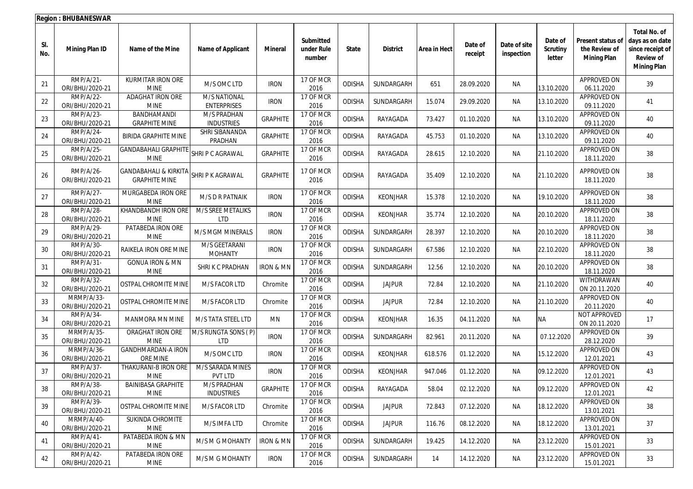|            | <b>Region: BHUBANESWAR</b>    |                                                          |                                           |                      |                                   |               |                 |              |                    |                            |                                      |                                                                 |                                                                                                      |
|------------|-------------------------------|----------------------------------------------------------|-------------------------------------------|----------------------|-----------------------------------|---------------|-----------------|--------------|--------------------|----------------------------|--------------------------------------|-----------------------------------------------------------------|------------------------------------------------------------------------------------------------------|
| SI.<br>No. | <b>Mining Plan ID</b>         | Name of the Mine                                         | <b>Name of Applicant</b>                  | <b>Mineral</b>       | Submitted<br>under Rule<br>number | <b>State</b>  | <b>District</b> | Area in Hect | Date of<br>receipt | Date of site<br>inspection | Date of<br><b>Scrutiny</b><br>letter | <b>Present status of</b><br>the Review of<br><b>Mining Plan</b> | <b>Total No. of</b><br>days as on date<br>since receipt of<br><b>Review of</b><br><b>Mining Plan</b> |
| 21         | RMP/A/21-<br>ORI/BHU/2020-21  | KURMITAR IRON ORE<br><b>MINE</b>                         | M/S OMC LTD                               | <b>IRON</b>          | 17 OF MCR<br>2016                 | <b>ODISHA</b> | SUNDARGARH      | 651          | 28.09.2020         | ΝA                         | 13.10.2020                           | APPROVED ON<br>06.11.2020                                       | 39                                                                                                   |
| 22         | RMP/A/22-<br>ORI/BHU/2020-21  | ADAGHAT IRON ORE<br><b>MINE</b>                          | <b>M/S NATIONAL</b><br><b>ENTERPRISES</b> | <b>IRON</b>          | 17 OF MCR<br>2016                 | <b>ODISHA</b> | SUNDARGARH      | 15.074       | 29.09.2020         | ΝA                         | 13.10.2020                           | APPROVED ON<br>09.11.2020                                       | 41                                                                                                   |
| 23         | RMP/A/23-<br>ORI/BHU/2020-21  | BANDHAMANDI<br><b>GRAPHITE MINE</b>                      | M/S PRADHAN<br><b>INDUSTRIES</b>          | <b>GRAPHITE</b>      | 17 OF MCR<br>2016                 | ODISHA        | RAYAGADA        | 73.427       | 01.10.2020         | ΝA                         | 13.10.2020                           | APPROVED ON<br>09.11.2020                                       | 40                                                                                                   |
| 24         | RMP/A/24-<br>ORI/BHU/2020-21  | <b>BIRIDA GRAPHITE MINE</b>                              | SHRI SIBANANDA<br>PRADHAN                 | <b>GRAPHITE</b>      | 17 OF MCR<br>2016                 | ODISHA        | RAYAGADA        | 45.753       | 01.10.2020         | <b>NA</b>                  | 13.10.2020                           | APPROVED ON<br>09.11.2020                                       | 40                                                                                                   |
| 25         | RMP/A/25-<br>ORI/BHU/2020-21  | <b>GANDABAHALI GRAPHITE</b><br><b>MINE</b>               | SHRIP C AGRAWAL                           | <b>GRAPHITE</b>      | 17 OF MCR<br>2016                 | ODISHA        | RAYAGADA        | 28.615       | 12.10.2020         | <b>NA</b>                  | 21.10.2020                           | APPROVED ON<br>18.11.2020                                       | 38                                                                                                   |
| 26         | RMP/A/26-<br>ORI/BHU/2020-21  | <b>GANDABAHALI &amp; KIRKITA</b><br><b>GRAPHITE MINE</b> | SHRIP K AGRAWAL                           | <b>GRAPHITE</b>      | 17 OF MCR<br>2016                 | ODISHA        | RAYAGADA        | 35.409       | 12.10.2020         | <b>NA</b>                  | 21.10.2020                           | APPROVED ON<br>18.11.2020                                       | 38                                                                                                   |
| 27         | RMP/A/27-<br>ORI/BHU/2020-21  | MURGABEDA IRON ORE<br><b>MINE</b>                        | M/S D R PATNAIK                           | <b>IRON</b>          | 17 OF MCR<br>2016                 | ODISHA        | <b>KEONJHAR</b> | 15.378       | 12.10.2020         | <b>NA</b>                  | 19.10.2020                           | APPROVED ON<br>18.11.2020                                       | 38                                                                                                   |
| 28         | RMP/A/28-<br>ORI/BHU/2020-21  | KHANDBANDH IRON ORE<br><b>MINE</b>                       | M/S SREE METALIKS<br><b>LTD</b>           | <b>IRON</b>          | 17 OF MCR<br>2016                 | <b>ODISHA</b> | <b>KEONJHAR</b> | 35.774       | 12.10.2020         | <b>NA</b>                  | 20.10.2020                           | APPROVED ON<br>18.11.2020                                       | 38                                                                                                   |
| 29         | RMP/A/29-<br>ORI/BHU/2020-21  | PATABEDA IRON ORE<br><b>MINE</b>                         | M/S MGM MINERALS                          | <b>IRON</b>          | 17 OF MCR<br>2016                 | ODISHA        | SUNDARGARH      | 28.397       | 12.10.2020         | <b>NA</b>                  | 20.10.2020                           | APPROVED ON<br>18.11.2020                                       | 38                                                                                                   |
| 30         | RMP/A/30-<br>ORI/BHU/2020-21  | RAIKELA IRON ORE MINE                                    | M/S GEETARANI<br><b>MOHANTY</b>           | <b>IRON</b>          | 17 OF MCR<br>2016                 | ODISHA        | SUNDARGARH      | 67.586       | 12.10.2020         | ΝA                         | 22.10.2020                           | APPROVED ON<br>18.11.2020                                       | 38                                                                                                   |
| 31         | RMP/A/31-<br>ORI/BHU/2020-21  | <b>GONUA IRON &amp; MN</b><br><b>MINE</b>                | SHRIK C PRADHAN                           | IRON & MN            | 17 OF MCR<br>2016                 | <b>ODISHA</b> | SUNDARGARH      | 12.56        | 12.10.2020         | <b>NA</b>                  | 20.10.2020                           | APPROVED ON<br>18.11.2020                                       | 38                                                                                                   |
| 32         | RMP/A/32-<br>ORI/BHU/2020-21  | OSTPAL CHROMITE MINE                                     | M/S FACOR LTD                             | Chromite             | 17 OF MCR<br>2016                 | <b>ODISHA</b> | <b>JAJPUR</b>   | 72.84        | 12.10.2020         | <b>NA</b>                  | 21.10.2020                           | WITHDRAWAN<br>ON 20.11.2020                                     | 40                                                                                                   |
| 33         | MRMP/A/33-<br>ORI/BHU/2020-21 | OSTPAL CHROMITE MINE                                     | M/S FACOR LTD                             | Chromite             | 17 OF MCR<br>2016                 | ODISHA        | <b>JAJPUR</b>   | 72.84        | 12.10.2020         | <b>NA</b>                  | 21.10.2020                           | APPROVED ON<br>20.11.2020                                       | 40                                                                                                   |
| 34         | RMP/A/34-<br>ORI/BHU/2020-21  | MANMORA MN MINE                                          | M/S TATA STEEL LTD                        | <b>MN</b>            | 17 OF MCR<br>2016                 | ODISHA        | <b>KEONJHAR</b> | 16.35        | 04.11.2020         | <b>NA</b>                  | <b>NA</b>                            | NOT APPROVED<br>ON 20.11.2020                                   | 17                                                                                                   |
| 35         | MRMP/A/35-<br>ORI/BHU/2020-21 | ORAGHAT IRON ORE<br><b>MINE</b>                          | M/S RUNGTA SONS (P)<br><b>LTD</b>         | <b>IRON</b>          | 17 OF MCR<br>2016                 | ODISHA        | SUNDARGARH      | 82.961       | 20.11.2020         | ΝA                         | 07.12.2020                           | APPROVED ON<br>28.12.2020                                       | 39                                                                                                   |
| 36         | MRMP/A/36-<br>ORI/BHU/2020-21 | <b>GANDHMARDAN-A IRON</b><br>ORE MINE                    | M/S OMC LTD                               | <b>IRON</b>          | 17 OF MCR<br>2016                 | <b>ODISHA</b> | <b>KEONJHAR</b> | 618.576      | 01.12.2020         | <b>NA</b>                  | 15.12.2020                           | APPROVED ON<br>12.01.2021                                       | 43                                                                                                   |
| 37         | RMP/A/37-<br>ORI/BHU/2020-21  | THAKURANI-B IRON ORE<br><b>MINE</b>                      | M/S SARADA MINES<br>PVT LTD               | <b>IRON</b>          | 17 OF MCR<br>2016                 | ODISHA        | <b>KEONJHAR</b> | 947.046      | 01.12.2020         | <b>NA</b>                  | 09.12.2020                           | APPROVED ON<br>12.01.2021                                       | 43                                                                                                   |
| 38         | RMP/A/38-<br>ORI/BHU/2020-21  | <b>BAINIBASA GRAPHITE</b><br>MINE                        | M/S PRADHAN<br><b>INDUSTRIES</b>          | GRAPHITE             | 17 OF MCR<br>2016                 | ODISHA        | RAYAGADA        | 58.04        | 02.12.2020         | ΝA                         | 09.12.2020                           | APPROVED ON<br>12.01.2021                                       | 42                                                                                                   |
| 39         | RMP/A/39-<br>ORI/BHU/2020-21  | OSTPAL CHROMITE MINE                                     | M/S FACOR LTD                             | Chromite             | 17 OF MCR<br>2016                 | <b>ODISHA</b> | <b>JAJPUR</b>   | 72.843       | 07.12.2020         | NA                         | 18.12.2020                           | APPROVED ON<br>13.01.2021                                       | 38                                                                                                   |
| 40         | MRMP/A/40-<br>ORI/BHU/2020-21 | SUKINDA CHROMITE<br>MINE                                 | M/S IMFA LTD                              | Chromite             | 17 OF MCR<br>2016                 | ODISHA        | <b>JAJPUR</b>   | 116.76       | 08.12.2020         | NA                         | 18.12.2020                           | APPROVED ON<br>13.01.2021                                       | 37                                                                                                   |
| 41         | RMP/A/41-<br>ORI/BHU/2020-21  | PATABEDA IRON & MN<br>MINE                               | M/S M G MOHANTY                           | <b>IRON &amp; MN</b> | 17 OF MCR<br>2016                 | ODISHA        | SUNDARGARH      | 19.425       | 14.12.2020         | NA                         | 23.12.2020                           | APPROVED ON<br>15.01.2021                                       | 33                                                                                                   |
| 42         | RMP/A/42-<br>ORI/BHU/2020-21  | PATABEDA IRON ORE<br><b>MINE</b>                         | M/S M G MOHANTY                           | <b>IRON</b>          | 17 OF MCR<br>2016                 | ODISHA        | SUNDARGARH      | 14           | 14.12.2020         | NA                         | 23.12.2020                           | APPROVED ON<br>15.01.2021                                       | 33                                                                                                   |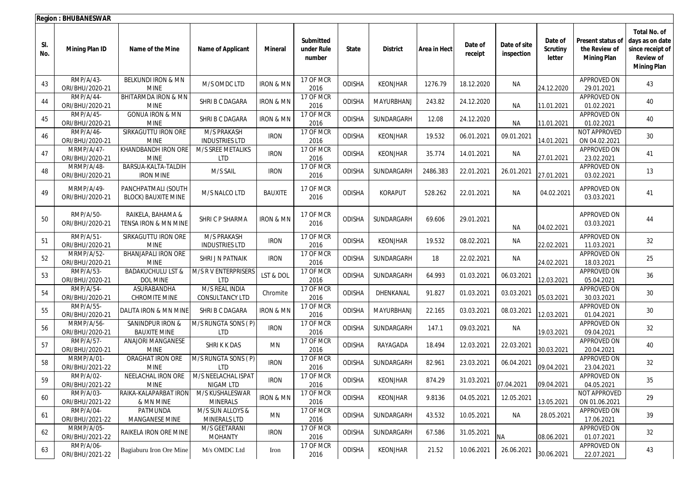|            | <b>Region: BHUBANESWAR</b>    |                                                   |                                          |                      |                                   |               |                 |                     |                    |                            |                                      |                                                          |                                                                                                      |
|------------|-------------------------------|---------------------------------------------------|------------------------------------------|----------------------|-----------------------------------|---------------|-----------------|---------------------|--------------------|----------------------------|--------------------------------------|----------------------------------------------------------|------------------------------------------------------------------------------------------------------|
| SI.<br>No. | <b>Mining Plan ID</b>         | Name of the Mine                                  | <b>Name of Applicant</b>                 | Mineral              | Submitted<br>under Rule<br>number | <b>State</b>  | <b>District</b> | <b>Area in Hect</b> | Date of<br>receipt | Date of site<br>inspection | Date of<br><b>Scrutiny</b><br>letter | Present status of<br>the Review of<br><b>Mining Plan</b> | <b>Total No. of</b><br>days as on date<br>since receipt of<br><b>Review of</b><br><b>Mining Plan</b> |
| 43         | RMP/A/43-<br>ORI/BHU/2020-21  | BELKUNDI IRON & MN<br><b>MINE</b>                 | M/S OMDC LTD                             | <b>IRON &amp; MN</b> | 17 OF MCR<br>2016                 | <b>ODISHA</b> | <b>KEONJHAR</b> | 1276.79             | 18.12.2020         | <b>NA</b>                  | 24.12.2020                           | APPROVED ON<br>29.01.2021                                | 43                                                                                                   |
| 44         | RMP/A/44-<br>ORI/BHU/2020-21  | BHITARMDA IRON & MN<br><b>MINE</b>                | SHRI B C DAGARA                          | <b>IRON &amp; MN</b> | 17 OF MCR<br>2016                 | <b>ODISHA</b> | MAYURBHANJ      | 243.82              | 24.12.2020         | ΝA                         | 11.01.2021                           | APPROVED ON<br>01.02.2021                                | 40                                                                                                   |
| 45         | RMP/A/45-<br>ORI/BHU/2020-21  | <b>GONUA IRON &amp; MN</b><br><b>MINE</b>         | SHRI B C DAGARA                          | <b>IRON &amp; MN</b> | 17 OF MCR<br>2016                 | <b>ODISHA</b> | SUNDARGARH      | 12.08               | 24.12.2020         | <b>NA</b>                  | 11.01.2021                           | APPROVED ON<br>01.02.2021                                | 40                                                                                                   |
| 46         | RMP/A/46-<br>ORI/BHU/2020-21  | SIRKAGUTTU IRON ORE<br><b>MINE</b>                | M/S PRAKASH<br><b>INDUSTRIES LTD</b>     | <b>IRON</b>          | 17 OF MCR<br>2016                 | <b>ODISHA</b> | <b>KEONJHAR</b> | 19.532              | 06.01.2021         | 09.01.2021                 | 14.01.2021                           | NOT APPROVED<br>ON 04.02.2021                            | 30                                                                                                   |
| 47         | MRMP/A/47-<br>ORI/BHU/2020-21 | KHANDBANDH IRON ORE<br><b>MINE</b>                | M/S SREE METALIKS<br><b>LTD</b>          | <b>IRON</b>          | 17 OF MCR<br>2016                 | <b>ODISHA</b> | <b>KEONJHAR</b> | 35.774              | 14.01.2021         | <b>NA</b>                  | 27.01.2021                           | APPROVED ON<br>23.02.2021                                | 41                                                                                                   |
| 48         | MRMP/A/48-<br>ORI/BHU/2020-21 | BARSUA-KALTA-TALDIH<br><b>IRON MINE</b>           | M/S SAIL                                 | <b>IRON</b>          | 17 OF MCR<br>2016                 | <b>ODISHA</b> | SUNDARGARH      | 2486.383            | 22.01.2021         | 26.01.2021                 | 27.01.2021                           | APPROVED ON<br>03.02.2021                                | 13                                                                                                   |
| 49         | MRMP/A/49-<br>ORI/BHU/2020-21 | PANCHPATMALI (SOUTH<br><b>BLOCK) BAUXITE MINE</b> | M/S NALCO LTD                            | <b>BAUXITE</b>       | 17 OF MCR<br>2016                 | <b>ODISHA</b> | KORAPUT         | 528.262             | 22.01.2021         | NA                         | 04.02.2021                           | APPROVED ON<br>03.03.2021                                | 41                                                                                                   |
| 50         | RMP/A/50-<br>ORI/BHU/2020-21  | RAIKELA, BAHAMA &<br>TENSA IRON & MN MINE         | SHRI C P SHARMA                          | <b>IRON &amp; MN</b> | 17 OF MCR<br>2016                 | <b>ODISHA</b> | SUNDARGARH      | 69.606              | 29.01.2021         | ΝA                         | 04.02.2021                           | APPROVED ON<br>03.03.2021                                | 44                                                                                                   |
| 51         | RMP/A/51-<br>ORI/BHU/2020-21  | SIRKAGUTTU IRON ORE<br><b>MINE</b>                | M/S PRAKASH<br><b>INDUSTRIES LTD</b>     | <b>IRON</b>          | 17 OF MCR<br>2016                 | <b>ODISHA</b> | <b>KEONJHAR</b> | 19.532              | 08.02.2021         | NA                         | 22.02.2021                           | APPROVED ON<br>11.03.2021                                | 32                                                                                                   |
| 52         | MRMP/A/52-<br>ORI/BHU/2020-21 | <b>BHANJAPALI IRON ORE</b><br><b>MINE</b>         | SHRI J N PATNAIK                         | <b>IRON</b>          | 17 OF MCR<br>2016                 | <b>ODISHA</b> | SUNDARGARH      | 18                  | 22.02.2021         | NA                         | 24.02.2021                           | APPROVED ON<br>18.03.2021                                | 25                                                                                                   |
| 53         | RMP/A/53-<br>ORI/BHU/2020-21  | <b>BADAKUCHULU LST &amp;</b><br><b>DOL MINE</b>   | M/S R V ENTERPRISERS<br><b>LTD</b>       | LST & DOL            | 17 OF MCR<br>2016                 | <b>ODISHA</b> | SUNDARGARH      | 64.993              | 01.03.2021         | 06.03.2021                 | 12.03.2021                           | APPROVED ON<br>05.04.2021                                | 36                                                                                                   |
| 54         | RMP/A/54-<br>ORI/BHU/2020-21  | ASURABANDHA<br>CHROMITE MINE                      | M/S REAL INDIA<br><b>CONSULTANCY LTD</b> | Chromite             | 17 OF MCR<br>2016                 | <b>ODISHA</b> | DHENKANAL       | 91.827              | 01.03.2021         | 03.03.2021                 | 05.03.2021                           | APPROVED ON<br>30.03.2021                                | 30                                                                                                   |
| 55         | RMP/A/55-<br>ORI/BHU/2020-21  | DALITA IRON & MN MINE                             | SHRI B C DAGARA                          | <b>IRON &amp; MN</b> | 17 OF MCR<br>2016                 | <b>ODISHA</b> | MAYURBHANJ      | 22.165              | 03.03.2021         | 08.03.2021                 | 12.03.2021                           | APPROVED ON<br>01.04.2021                                | 30                                                                                                   |
| 56         | MRMP/A/56-<br>ORI/BHU/2020-21 | SANINDPUR IRON &<br><b>BAUXITE MINE</b>           | M/S RUNGTA SONS (P)<br><b>LTD</b>        | <b>IRON</b>          | 17 OF MCR<br>2016                 | <b>ODISHA</b> | SUNDARGARH      | 147.1               | 09.03.2021         | <b>NA</b>                  | 19.03.2021                           | APPROVED ON<br>09.04.2021                                | 32                                                                                                   |
| 57         | RMP/A/57-<br>ORI/BHU/2020-21  | ANAJORI MANGANESE<br><b>MINE</b>                  | SHRIKK DAS                               | MN                   | 17 OF MCR<br>2016                 | <b>ODISHA</b> | RAYAGADA        | 18.494              | 12.03.2021         | 22.03.2021                 | 30.03.2021                           | APPROVED ON<br>20.04.2021                                | 40                                                                                                   |
| 58         | MRMP/A/01-<br>ORI/BHU/2021-22 | ORAGHAT IRON ORE<br><b>MINE</b>                   | M/S RUNGTA SONS (P)<br><b>LTD</b>        | <b>IRON</b>          | 17 OF MCR<br>2016                 | <b>ODISHA</b> | SUNDARGARH      | 82.961              | 23.03.2021         | 06.04.2021                 | 09.04.2021                           | APPROVED ON<br>23.04.2021                                | 32                                                                                                   |
| 59         | RMP/A/02-<br>ORI/BHU/2021-22  | NEELACHAL IRON ORE<br>MINE                        | M/S NEELACHAL ISPAT<br>NIGAM LTD         | <b>IRON</b>          | 17 OF MCR<br>2016                 | <b>ODISHA</b> | <b>KEONJHAR</b> | 874.29              | 31.03.2021         | 07.04.2021                 | 09.04.2021                           | APPROVED ON<br>04.05.2021                                | 35                                                                                                   |
| 60         | RMP/A/03-<br>ORI/BHU/2021-22  | RAIKA-KALAPARBAT IRON<br>& MN MINE                | M/S KUSHALESWAR<br><b>MINERALS</b>       | <b>IRON &amp; MN</b> | 17 OF MCR<br>2016                 | <b>ODISHA</b> | KEONJHAR        | 9.8136              | 04.05.2021         | 12.05.2021                 | 13.05.2021                           | NOT APPROVED<br>ON 01.06.2021                            | 29                                                                                                   |
| 61         | RMP/A/04-<br>ORI/BHU/2021-22  | PATMUNDA<br>MANGANESE MINE                        | M/S SUN ALLOYS &<br><b>MINERALS LTD</b>  | MN                   | 17 OF MCR<br>2016                 | <b>ODISHA</b> | SUNDARGARH      | 43.532              | 10.05.2021         | NA                         | 28.05.2021                           | APPROVED ON<br>17.06.2021                                | 39                                                                                                   |
| 62         | MRMP/A/05-<br>ORI/BHU/2021-22 | RAIKELA IRON ORE MINE                             | M/S GEETARANI<br><b>MOHANTY</b>          | <b>IRON</b>          | 17 OF MCR<br>2016                 | <b>ODISHA</b> | SUNDARGARH      | 67.586              | 31.05.2021         | <b>NA</b>                  | 08.06.2021                           | APPROVED ON<br>01.07.2021                                | 32                                                                                                   |
| 63         | RMP/A/06-<br>ORI/BHU/2021-22  | Bagiaburu Iron Ore Mine                           | M/s OMDC Ltd                             | Iron                 | 17 OF MCR<br>2016                 | ODISHA        | KEONJHAR        | 21.52               | 10.06.2021         | 26.06.2021                 | 30.06.2021                           | APPROVED ON<br>22.07.2021                                | 43                                                                                                   |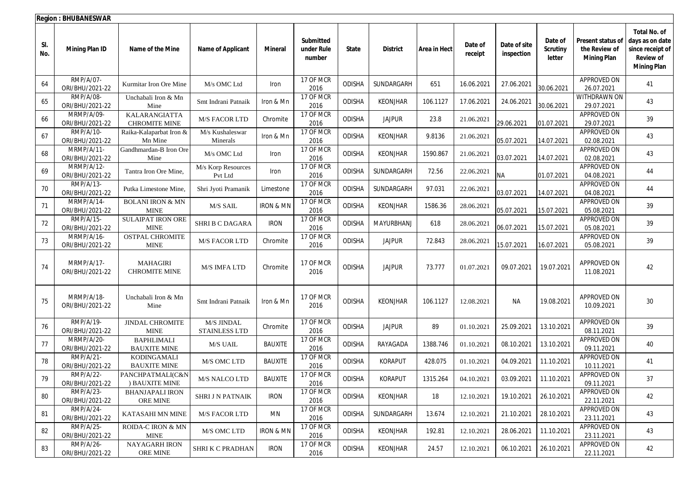|            | <b>Region: BHUBANESWAR</b>          |                                            |                                    |                      |                                   |               |                 |              |                    |                            |                                      |                                                          |                                                                                                      |
|------------|-------------------------------------|--------------------------------------------|------------------------------------|----------------------|-----------------------------------|---------------|-----------------|--------------|--------------------|----------------------------|--------------------------------------|----------------------------------------------------------|------------------------------------------------------------------------------------------------------|
| SI.<br>No. | <b>Mining Plan ID</b>               | Name of the Mine                           | <b>Name of Applicant</b>           | <b>Mineral</b>       | Submitted<br>under Rule<br>number | <b>State</b>  | <b>District</b> | Area in Hect | Date of<br>receipt | Date of site<br>inspection | Date of<br><b>Scrutiny</b><br>letter | Present status of<br>the Review of<br><b>Mining Plan</b> | <b>Total No. of</b><br>days as on date<br>since receipt of<br><b>Review of</b><br><b>Mining Plan</b> |
| 64         | RMP/A/07-<br>ORI/BHU/2021-22        | Kurmitar Iron Ore Mine                     | M/s OMC Ltd                        | Iron                 | 17 OF MCR<br>2016                 | <b>ODISHA</b> | SUNDARGARH      | 651          | 16.06.2021         | 27.06.2021                 | 30.06.2021                           | APPROVED ON<br>26.07.2021                                | 41                                                                                                   |
| 65         | RMP/A/08-<br>ORI/BHU/2021-22        | Unchabali Iron & Mn<br>Mine                | Smt Indrani Patnaik                | Iron & Mn            | 17 OF MCR<br>2016                 | <b>ODISHA</b> | <b>KEONJHAR</b> | 106.1127     | 17.06.2021         | 24.06.2021                 | 30.06.2021                           | WITHDRAWN ON<br>29.07.2021                               | 43                                                                                                   |
| 66         | MRMP/A/09-<br>ORI/BHU/2021-22       | KALARANGIATTA<br><b>CHROMITE MINE</b>      | <b>M/S FACOR LTD</b>               | Chromite             | 17 OF MCR<br>2016                 | <b>ODISHA</b> | <b>JAJPUR</b>   | 23.8         | 21.06.2021         | 29.06.2021                 | 01.07.2021                           | APPROVED ON<br>29.07.2021                                | 39                                                                                                   |
| 67         | RMP/A/10-<br>ORI/BHU/2021-22        | Raika-Kalaparbat Iron &<br>Mn Mine         | M/s Kushaleswar<br>Minerals        | Iron & Mn            | 17 OF MCR<br>2016                 | <b>ODISHA</b> | <b>KEONJHAR</b> | 9.8136       | 21.06.2021         | 05.07.2021                 | 14.07.2021                           | APPROVED ON<br>02.08.2021                                | 43                                                                                                   |
| 68         | MRMP/A/11-<br>ORI/BHU/2021-22       | Gandhmardan-B Iron Ore<br>Mine             | M/s OMC Ltd                        | Iron                 | 17 OF MCR<br>2016                 | <b>ODISHA</b> | <b>KEONJHAR</b> | 1590.867     | 21.06.2021         | 03.07.2021                 | 14.07.2021                           | APPROVED ON<br>02.08.2021                                | 43                                                                                                   |
| 69         | MRMP/A/12-<br>ORI/BHU/2021-22       | Tantra Iron Ore Mine,                      | M/s Korp Resources<br>Pvt Ltd      | Iron                 | 17 OF MCR<br>2016                 | <b>ODISHA</b> | SUNDARGARH      | 72.56        | 22.06.2021         | <b>NA</b>                  | 01.07.2021                           | APPROVED ON<br>04.08.2021                                | 44                                                                                                   |
| 70         | RMP/A/13-<br>ORI/BHU/2021-22        | Putka Limestone Mine,                      | Shri Jyoti Pramanik                | Limestone            | 17 OF MCR<br>2016                 | <b>ODISHA</b> | SUNDARGARH      | 97.031       | 22.06.2021         | 03.07.2021                 | 14.07.2021                           | APPROVED ON<br>04.08.2021                                | 44                                                                                                   |
| 71         | MRMP/A/14-<br>ORI/BHU/2021-22       | <b>BOLANI IRON &amp; MN</b><br><b>MINE</b> | M/S SAIL                           | <b>IRON &amp; MN</b> | 17 OF MCR<br>2016                 | <b>ODISHA</b> | KEONJHAR        | 1586.36      | 28.06.2021         | 05.07.2021                 | 15.07.2021                           | <b>APPROVED ON</b><br>05.08.2021                         | 39                                                                                                   |
| 72         | <b>RMP/A/15-</b><br>ORI/BHU/2021-22 | SULAIPAT IRON ORE<br><b>MINE</b>           | <b>SHRI B C DAGARA</b>             | <b>IRON</b>          | 17 OF MCR<br>2016                 | <b>ODISHA</b> | MAYURBHANJ      | 618          | 28.06.2021         | 06.07.2021                 | 15.07.2021                           | <b>APPROVED ON</b><br>05.08.2021                         | 39                                                                                                   |
| 73         | MRMP/A/16-<br>ORI/BHU/2021-22       | OSTPAL CHROMITE<br><b>MINE</b>             | <b>M/S FACOR LTD</b>               | Chromite             | 17 OF MCR<br>2016                 | <b>ODISHA</b> | <b>JAJPUR</b>   | 72.843       | 28.06.2021         | 15.07.2021                 | 16.07.2021                           | APPROVED ON<br>05.08.2021                                | 39                                                                                                   |
| 74         | MRMP/A/17-<br>ORI/BHU/2021-22       | <b>MAHAGIRI</b><br><b>CHROMITE MINE</b>    | <b>M/S IMFA LTD</b>                | Chromite             | 17 OF MCR<br>2016                 | <b>ODISHA</b> | <b>JAJPUR</b>   | 73.777       | 01.07.2021         | 09.07.2021                 | 19.07.2021                           | APPROVED ON<br>11.08.2021                                | 42                                                                                                   |
| 75         | MRMP/A/18-<br>ORI/BHU/2021-22       | Unchabali Iron & Mn<br>Mine                | Smt Indrani Patnaik                | Iron & Mn            | 17 OF MCR<br>2016                 | <b>ODISHA</b> | <b>KEONJHAR</b> | 106.1127     | 12.08.2021         | NA                         | 19.08.2021                           | APPROVED ON<br>10.09.2021                                | 30                                                                                                   |
| 76         | RMP/A/19-<br>ORI/BHU/2021-22        | <b>JINDAL CHROMITE</b><br><b>MINE</b>      | M/S JINDAL<br><b>STAINLESS LTD</b> | Chromite             | 17 OF MCR<br>2016                 | <b>ODISHA</b> | <b>JAJPUR</b>   | 89           | 01.10.2021         | 25.09.2021                 | 13.10.2021                           | APPROVED ON<br>08.11.2021                                | 39                                                                                                   |
| 77         | MRMP/A/20-<br>ORI/BHU/2021-22       | <b>BAPHLIMALI</b><br><b>BAUXITE MINE</b>   | <b>M/S UAIL</b>                    | <b>BAUXITE</b>       | 17 OF MCR<br>2016                 | ODISHA        | RAYAGADA        | 1388.746     | 01.10.2021         | 08.10.2021                 | 13.10.2021                           | <b>APPROVED ON</b><br>09.11.2021                         | 40                                                                                                   |
| 78         | RMP/A/21-<br>ORI/BHU/2021-22        | KODINGAMALI<br><b>BAUXITE MINE</b>         | M/S OMC LTD                        | <b>BAUXITE</b>       | 17 OF MCR<br>2016                 | ODISHA        | KORAPUT         | 428.075      | 01.10.2021         | 04.09.2021                 | 11.10.2021                           | APPROVED ON<br>10.11.2021                                | 41                                                                                                   |
| 79         | RMP/A/22-<br>ORI/BHU/2021-22        | PANCHPATMALI(C&N<br>) BAUXITE MINE         | M/S NALCO LTD                      | <b>BAUXITE</b>       | 17 OF MCR<br>2016                 | ODISHA        | <b>KORAPUT</b>  | 1315.264     | 04.10.2021         | 03.09.2021                 | 11.10.2021                           | APPROVED ON<br>09.11.2021                                | 37                                                                                                   |
| 80         | RMP/A/23-<br>ORI/BHU/2021-22        | <b>BHANJAPALI IRON</b><br>ORE MINE         | <b>SHRI J N PATNAIK</b>            | <b>IRON</b>          | 17 OF MCR<br>2016                 | <b>ODISHA</b> | KEONJHAR        | 18           | 12.10.2021         | 19.10.2021                 | 26.10.2021                           | APPROVED ON<br>22.11.2021                                | 42                                                                                                   |
| 81         | RMP/A/24-<br>ORI/BHU/2021-22        | KATASAHI MN MINE                           | <b>M/S FACOR LTD</b>               | MN                   | 17 OF MCR<br>2016                 | <b>ODISHA</b> | SUNDARGARH      | 13.674       | 12.10.2021         | 21.10.2021                 | 28.10.2021                           | APPROVED ON<br>23.11.2021                                | 43                                                                                                   |
| 82         | RMP/A/25-<br>ORI/BHU/2021-22        | <b>ROIDA-C IRON &amp; MN</b><br>MINE       | M/S OMC LTD                        | <b>IRON &amp; MN</b> | 17 OF MCR<br>2016                 | <b>ODISHA</b> | <b>KEONJHAR</b> | 192.81       | 12.10.2021         | 28.06.2021                 | 11.10.2021                           | APPROVED ON<br>23.11.2021                                | 43                                                                                                   |
| 83         | RMP/A/26-<br>ORI/BHU/2021-22        | <b>NAYAGARH IRON</b><br>ORE MINE           | <b>SHRI K C PRADHAN</b>            | <b>IRON</b>          | 17 OF MCR<br>2016                 | ODISHA        | <b>KEONJHAR</b> | 24.57        | 12.10.2021         | 06.10.2021                 | 26.10.2021                           | APPROVED ON<br>22.11.2021                                | 42                                                                                                   |